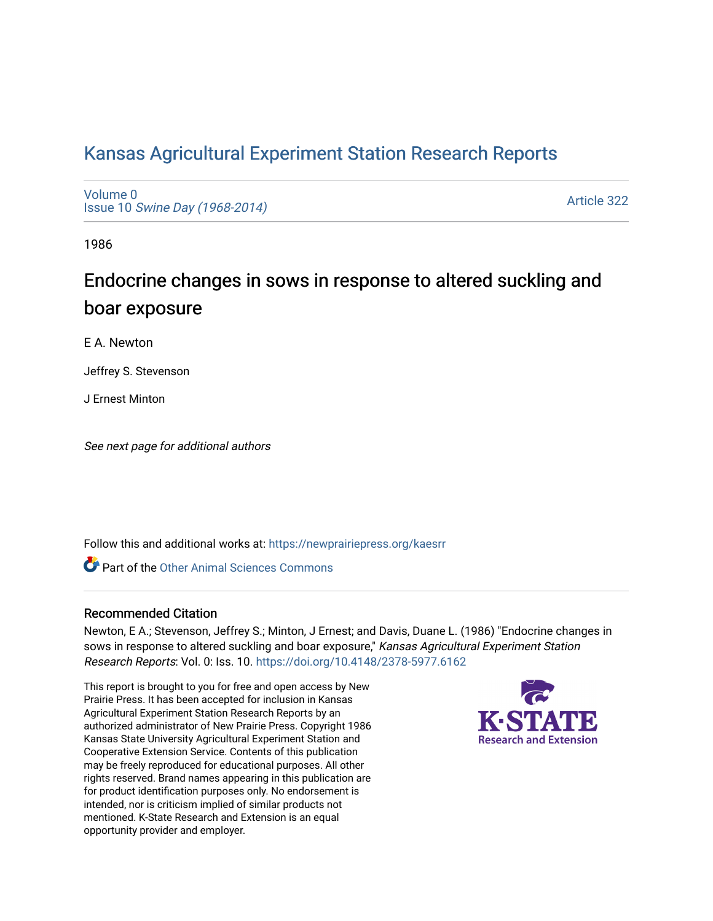# [Kansas Agricultural Experiment Station Research Reports](https://newprairiepress.org/kaesrr)

[Volume 0](https://newprairiepress.org/kaesrr/vol0) Issue 10 [Swine Day \(1968-2014\)](https://newprairiepress.org/kaesrr/vol0/iss10)

[Article 322](https://newprairiepress.org/kaesrr/vol0/iss10/322) 

1986

# Endocrine changes in sows in response to altered suckling and boar exposure

E A. Newton

Jeffrey S. Stevenson

J Ernest Minton

See next page for additional authors

Follow this and additional works at: [https://newprairiepress.org/kaesrr](https://newprairiepress.org/kaesrr?utm_source=newprairiepress.org%2Fkaesrr%2Fvol0%2Fiss10%2F322&utm_medium=PDF&utm_campaign=PDFCoverPages) 

**C** Part of the [Other Animal Sciences Commons](http://network.bepress.com/hgg/discipline/82?utm_source=newprairiepress.org%2Fkaesrr%2Fvol0%2Fiss10%2F322&utm_medium=PDF&utm_campaign=PDFCoverPages)

### Recommended Citation

Newton, E A.; Stevenson, Jeffrey S.; Minton, J Ernest; and Davis, Duane L. (1986) "Endocrine changes in sows in response to altered suckling and boar exposure," Kansas Agricultural Experiment Station Research Reports: Vol. 0: Iss. 10. <https://doi.org/10.4148/2378-5977.6162>

This report is brought to you for free and open access by New Prairie Press. It has been accepted for inclusion in Kansas Agricultural Experiment Station Research Reports by an authorized administrator of New Prairie Press. Copyright 1986 Kansas State University Agricultural Experiment Station and Cooperative Extension Service. Contents of this publication may be freely reproduced for educational purposes. All other rights reserved. Brand names appearing in this publication are for product identification purposes only. No endorsement is intended, nor is criticism implied of similar products not mentioned. K-State Research and Extension is an equal opportunity provider and employer.

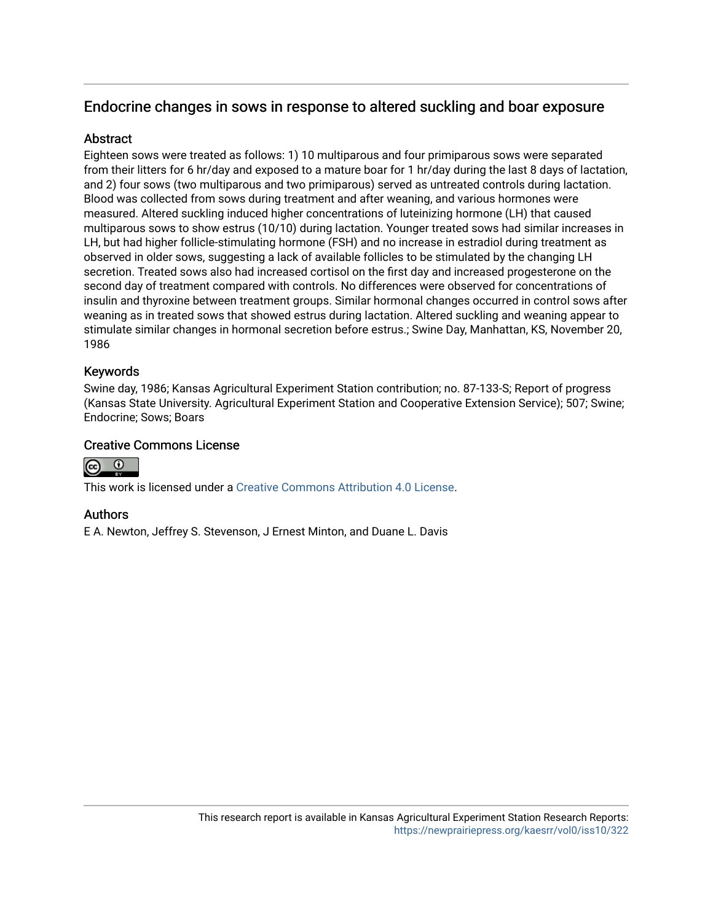## Endocrine changes in sows in response to altered suckling and boar exposure

## **Abstract**

Eighteen sows were treated as follows: 1) 10 multiparous and four primiparous sows were separated from their litters for 6 hr/day and exposed to a mature boar for 1 hr/day during the last 8 days of lactation, and 2) four sows (two multiparous and two primiparous) served as untreated controls during lactation. Blood was collected from sows during treatment and after weaning, and various hormones were measured. Altered suckling induced higher concentrations of luteinizing hormone (LH) that caused multiparous sows to show estrus (10/10) during lactation. Younger treated sows had similar increases in LH, but had higher follicle-stimulating hormone (FSH) and no increase in estradiol during treatment as observed in older sows, suggesting a lack of available follicles to be stimulated by the changing LH secretion. Treated sows also had increased cortisol on the first day and increased progesterone on the second day of treatment compared with controls. No differences were observed for concentrations of insulin and thyroxine between treatment groups. Similar hormonal changes occurred in control sows after weaning as in treated sows that showed estrus during lactation. Altered suckling and weaning appear to stimulate similar changes in hormonal secretion before estrus.; Swine Day, Manhattan, KS, November 20, 1986

## Keywords

Swine day, 1986; Kansas Agricultural Experiment Station contribution; no. 87-133-S; Report of progress (Kansas State University. Agricultural Experiment Station and Cooperative Extension Service); 507; Swine; Endocrine; Sows; Boars

## Creative Commons License



This work is licensed under a [Creative Commons Attribution 4.0 License](https://creativecommons.org/licenses/by/4.0/).

## Authors

E A. Newton, Jeffrey S. Stevenson, J Ernest Minton, and Duane L. Davis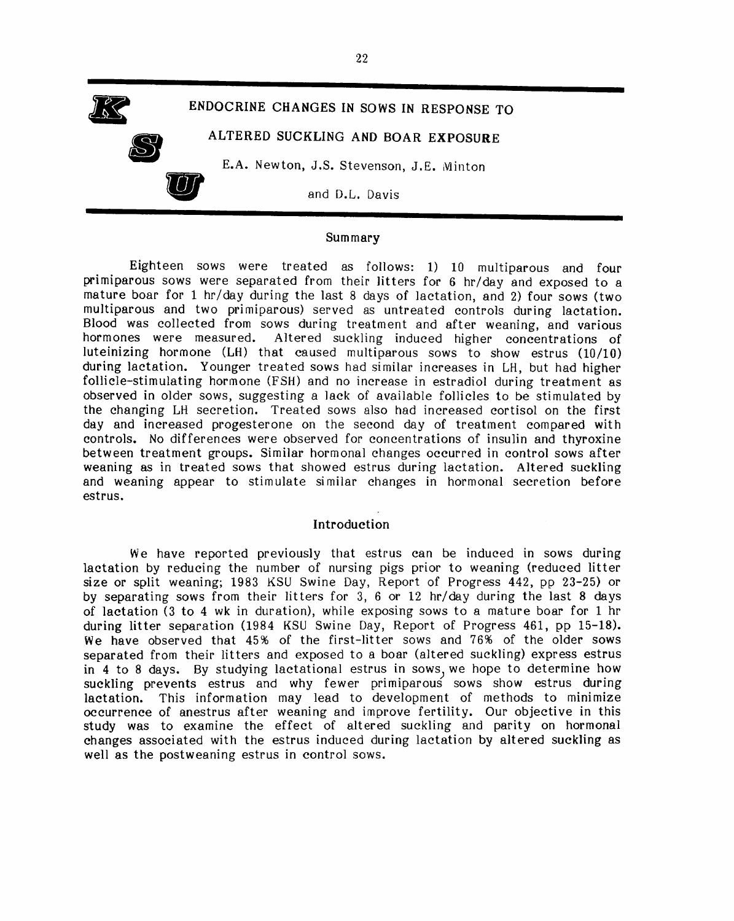

#### Summary

Eighteen sows were treated as follows: 1) 10 multiparous and four primiparous sows were separated from their litters for 6 hr/day and exposed to a mature boar for 1 hr/dav during the last 8 days of lactation, and 2) four sows (two multiparous and two primiparous) served as untreated controls during lactation. Blood was collected from sows during treatment and after weaning, and various hormones were measured. Altered suckling induced higher concentrations of luteinizing hormone  $(LH)$  that caused multiparous sows to show estrus  $(10/10)$ during lactation. Younger treated sows had similar increases in LH, but had higher follicle-stimulating hormone (FSH) and no increase in estradiol during treatment as observed in older sows, suggesting a lack of available follicles to be stimulated by the changing LH secretion. Treated sows also had increased cortisol on the first day and increased progesterone on the second day of treatment compared with controls. No differences were observed for concentrations of insulin and thyroxine between treatment groups. Similar hormonal changes occurred in control sows after weaning as in treated sows that showed estrus during lactation. Altered suckling and weaning appear to stimulate similar changes in hormonal secretion before estrus.

#### Introduction

We have reported previously that estrus can be induced in sows during lactation by reducing the number of nursing pigs prior to weaning (reduced litter size or split weaning; 1983 KSU Swine Day, Report of Progress 442, pp 23-25) or by separating sows from their litters for 3, 6 or 12 hr/day during the last 8 days of lactation (3 to 4 wk in duration), while exposing sows to a mature boar for 1 hr during litter separation (1984 KSU Swine Day, Report of Progress 461, pp 15-18). We have observed that 45% of the first-litter sows and 76% of the older sows separated from their litters and exposed to a boar (altered suckling) express estrus in 4 to 8 days. By studying lactational estrus in sows, we hope to determine how suckling prevents estrus and why fewer primiparous sows show estrus during lactation. This information may lead to development of methods to minimize occurrence of anestrus after weaning and improve fertility. Our objective in this study was to examine the effect of altered suckling and parity on hormonal changes associated with the estrus induced during lactation by altered suckling as well as the postweaning estrus in control sows.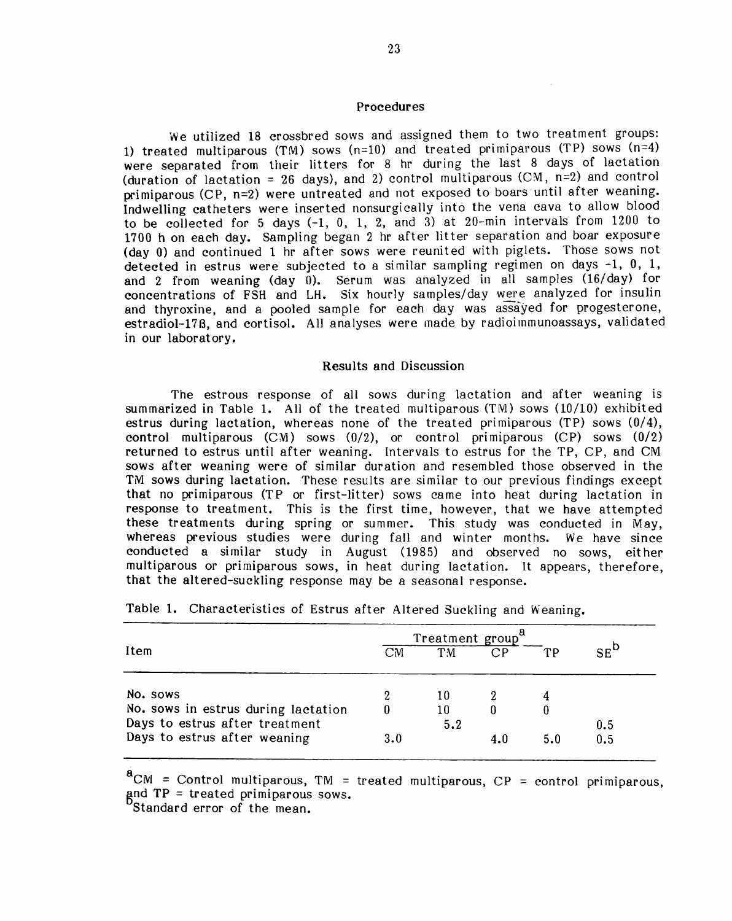#### Procedures

We utilized 18 crossbred sows and assigned them to two treatment groups: 1) treated multiparous (TM) sows ( $n=10$ ) and treated primiparous (TP) sows ( $n=4$ ) were separated from their litters for 8 hr during the last 8 days of lactation (duration of lactation = 26 days), and 2) control multiparous (CM,  $n=2$ ) and control primiparous (CP, n=2) were untreated and not exposed to boars until after weaning. Indwelling catheters were inserted nonsurgically into the vena cava to allow blood to be collected for 5 days  $(-1, 0, 1, 2,$  and 3) at 20-min intervals from 1200 to 1700 h on each day. Sampling began 2 hr after litter separation and boar exposure (day 0) and continued 1 hr after sows were reunited with piglets. Those sows not detected in estrus were subjected to a similar sampling regimen on days -1, 0, 1, and 2 from weaning (day 0). Serum was analyzed in all samples (16/day) for concentrations of FSH and LH. Six hourly samples/day were analyzed for insulin and thyroxine, and a pooled sample for each day was assayed for progesterone, estradiol-178, and cortisol. All analyses were made by radioimmunoassays, validated in our laboratory.

#### Results and Discussion

The estrous response of all sows during lactation and after weaning is summarized in Table 1. All of the treated multiparous  $(TM)$  sows  $(10/10)$  exhibited estrus during lactation, whereas none of the treated primiparous (TP) sows (0/4), control multiparous (CM) sows (0/2), or control primiparous (CP) sows (0/2) returned to estrus until after weaning. Intervals to estrus for the TP, CP, and CM sows after weaning were of similar duration and resembled those observed in the TM sows during lactation. These results are similar to our previous findings except that no primiparous (TP or first-litter) sows came into heat during lactation in response to treatment. This is the first time, however, that we have attempted these treatments during spring or summer. This study was conducted in May, whereas previous studies were during fall and winter months. We have since conducted a similar study in August (1985) and observed no sows, either multiparous or primiparous sows, in heat during lactation. It appears, therefore, that the altered-suckling response may be a seasonal response.

|                                     | Treatment group <sup>®</sup> |     |                 |     |                   |
|-------------------------------------|------------------------------|-----|-----------------|-----|-------------------|
| Item                                | CM                           | TM. | $\overline{CP}$ | TР  | $SE^{\mathsf{D}}$ |
| No. sows                            | 2                            | 10  |                 |     |                   |
| No. sows in estrus during lactation |                              | 10  | 0               |     |                   |
| Days to estrus after treatment      |                              | 5.2 |                 |     | 0.5               |
| Days to estrus after weaning        | 3.0                          |     | 4.0             | 5.0 | 0.5               |

|  | Table 1. Characteristics of Estrus after Altered Suckling and Weaning. |  |  |  |  |  |  |  |
|--|------------------------------------------------------------------------|--|--|--|--|--|--|--|
|--|------------------------------------------------------------------------|--|--|--|--|--|--|--|

 $^{\circ}$ CM = Control multiparous, TM = treated multiparous, CP = control primiparous,  $ext{and TP} = \text{treated primiparous sous, and } \text{r}$ 

Standard error of the mean.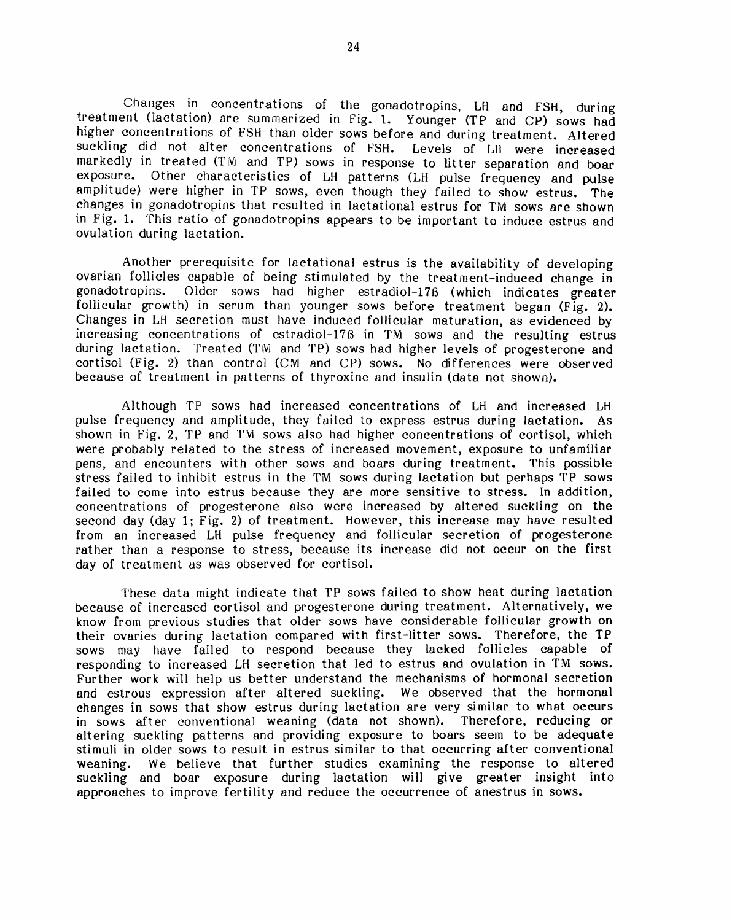Changes in concentrations of the gonadotropins, LH and FSH, during treatment (lactation) are summarized in Fig. 1. Younger (TP and CP) sows had higher concentrations of FSH than older sows before and during treatment. Altered suckling did not alter concentrations of FSH. Levels of LH were increased markedly in treated (TM and TP) sows in response to litter separation and boar exposure. Other characteristics of LH patterns (LH pulse frequency and pulse amplitude) were higher in TP sows, even though they failed to show estrus. The changes in gonadotropins that resulted in lactational estrus for TM sows are shown in Fig. 1. This ratio of gonadotropins appears to be important to induce estrus and ovulation during lactation.

Another prerequisite for lactational estrus is the availability of developing ovarian follicles capable of being stimulated by the treatment-induced change in gonadotropins. Older sows had higher estradiol-176 (which indicates greater follicular growth) in serum than younger sows before treatment began (Fig. 2). Changes in LH secretion must have induced follicular maturation, as evidenced by increasing concentrations of estradiol-178 in TM sows and the resulting estrus during lactation. Treated (TM and TP) sows had higher levels of progesterone and cortisol (Fig. 2) than control (CM and CP) sows. No differences were observed because of treatment in patterns of thyroxine and insulin (data not shown).

Although TP sows had increased concentrations of LH and increased LH pulse frequency and amplitude, they failed to express estrus during lactation. As shown in Fig. 2, TP and TM sows also had higher concentrations of cortisol, which were probably related to the stress of increased movement, exposure to unfamiliar pens, and encounters with other sows and boars during treatment. This possible stress failed to inhibit estrus in the TM sows during lactation but perhaps TP sows failed to come into estrus because they are more sensitive to stress. In addition, concentrations of progesterone also were increased by altered suckling on the second day (day 1; Fig. 2) of treatment. However, this increase may have resulted from an increased LH pulse frequency and follicular secretion of progesterone rather than a response to stress, because its increase did not occur on the first day of treatment as was observed for cortisol.

These data might indicate that TP sows failed to show heat during lactation because of increased cortisol and progesterone during treatment. Alternatively, we know from previous studies that older sows have considerable follicular growth on their ovaries during lactation compared with first-litter sows. Therefore, the TP sows may have failed to respond because they lacked follicles capable of responding to increased LH secretion that led to estrus and ovulation in TM sows. Further work will help us better understand the mechanisms of hormonal secretion and estrous expression after altered suckling. We observed that the hormonal changes in sows that show estrus during lactation are very similar to what occurs in sows after conventional weaning (data not shown). Therefore, reducing or altering suckling patterns and providing exposure to boars seem to be adequate stimuli in older sows to result in estrus similar to that occurring after conventional weaning. We believe that further studies examining the response to altered suckling and boar exposure during lactation will give greater insight into approaches to improve fertility and reduce the occurrence of anestrus in sows.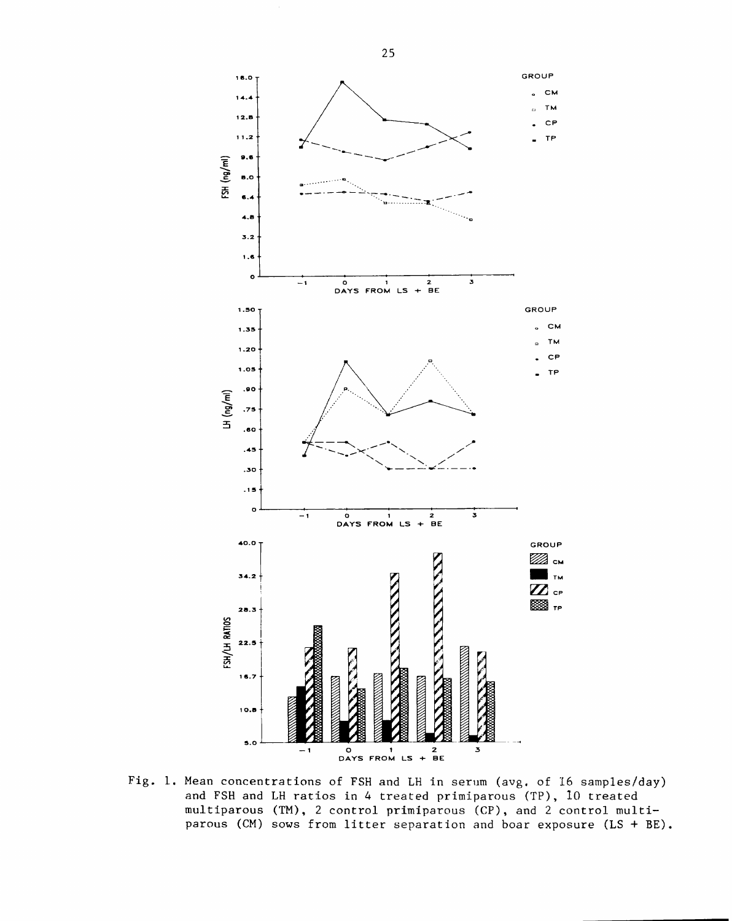

Fig. 1. Mean concentrations of FSH and LH in serum (avg. of 16 samples/day) and FSH and LH ratios in 4 treated primiparous (TP), 10 treated multiparous (TM), 2 control primiparous (CP), and 2 control multiparous (CM) sows from litter separation and boar exposure  $(LS + BE)$ .